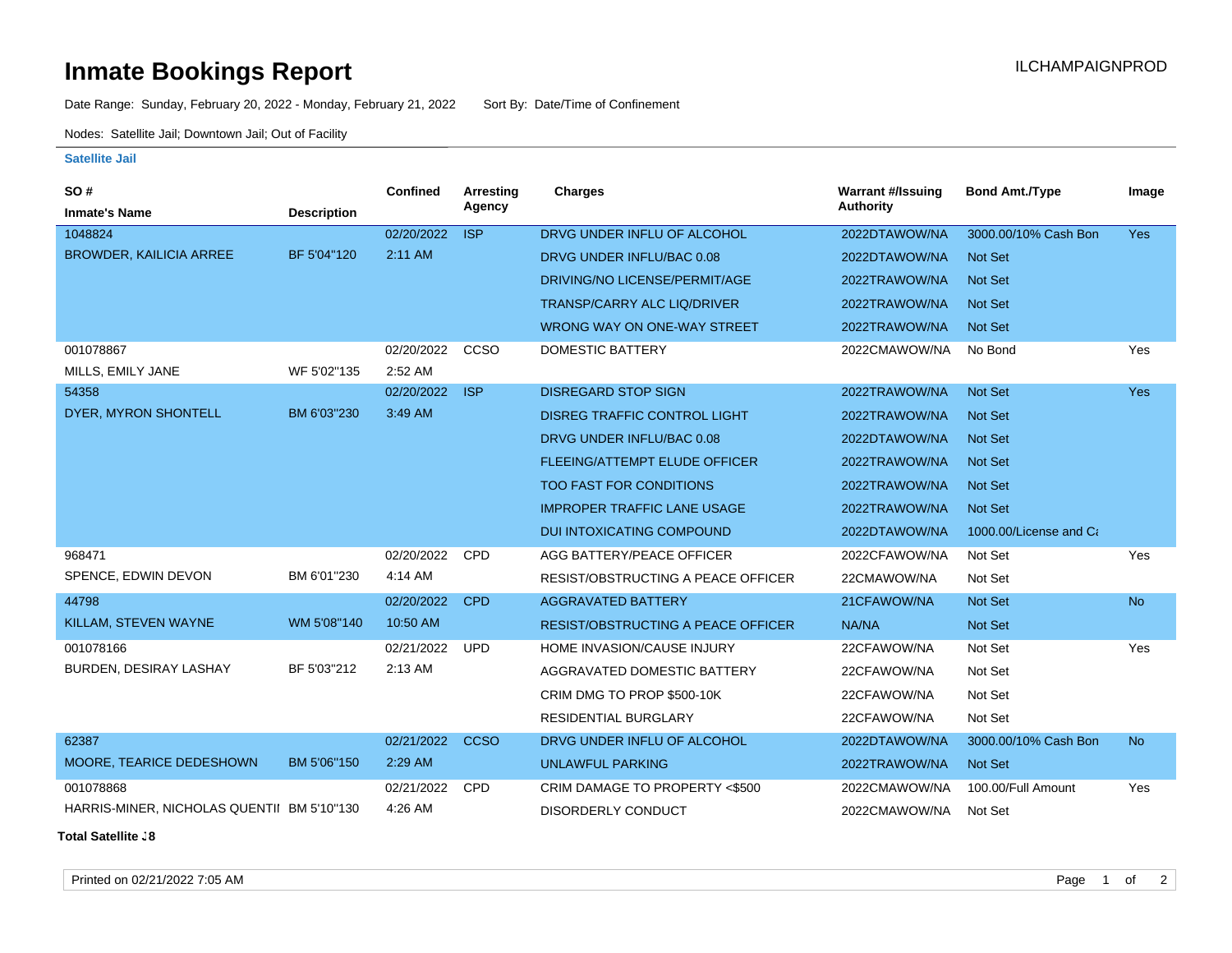## **Inmate Bookings Report Inmate Bookings Report**

Date Range: Sunday, February 20, 2022 - Monday, February 21, 2022 Sort By: Date/Time of Confinement

Nodes: Satellite Jail; Downtown Jail; Out of Facility

## **Satellite Jail**

| SO#                                        |                    | Confined   | <b>Arresting</b> | Charges                                   | <b>Warrant #/Issuing</b> | <b>Bond Amt./Type</b>  | Image     |
|--------------------------------------------|--------------------|------------|------------------|-------------------------------------------|--------------------------|------------------------|-----------|
| <b>Inmate's Name</b>                       | <b>Description</b> |            | Agency           |                                           | <b>Authority</b>         |                        |           |
| 1048824                                    |                    | 02/20/2022 | <b>ISP</b>       | DRVG UNDER INFLU OF ALCOHOL               | 2022DTAWOW/NA            | 3000.00/10% Cash Bon   | Yes       |
| <b>BROWDER, KAILICIA ARREE</b>             | BF 5'04"120        | 2:11 AM    |                  | DRVG UNDER INFLU/BAC 0.08                 | 2022DTAWOW/NA            | <b>Not Set</b>         |           |
|                                            |                    |            |                  | DRIVING/NO LICENSE/PERMIT/AGE             | 2022TRAWOW/NA            | Not Set                |           |
|                                            |                    |            |                  | <b>TRANSP/CARRY ALC LIQ/DRIVER</b>        | 2022TRAWOW/NA            | <b>Not Set</b>         |           |
|                                            |                    |            |                  | WRONG WAY ON ONE-WAY STREET               | 2022TRAWOW/NA            | <b>Not Set</b>         |           |
| 001078867                                  |                    | 02/20/2022 | CCSO             | DOMESTIC BATTERY                          | 2022CMAWOW/NA            | No Bond                | Yes       |
| MILLS, EMILY JANE                          | WF 5'02"135        | 2:52 AM    |                  |                                           |                          |                        |           |
| 54358                                      |                    | 02/20/2022 | <b>ISP</b>       | <b>DISREGARD STOP SIGN</b>                | 2022TRAWOW/NA            | Not Set                | Yes       |
| DYER, MYRON SHONTELL                       | BM 6'03"230        | 3:49 AM    |                  | <b>DISREG TRAFFIC CONTROL LIGHT</b>       | 2022TRAWOW/NA            | <b>Not Set</b>         |           |
|                                            |                    |            |                  | DRVG UNDER INFLU/BAC 0.08                 | 2022DTAWOW/NA            | <b>Not Set</b>         |           |
|                                            |                    |            |                  | <b>FLEEING/ATTEMPT ELUDE OFFICER</b>      | 2022TRAWOW/NA            | <b>Not Set</b>         |           |
|                                            |                    |            |                  | <b>TOO FAST FOR CONDITIONS</b>            | 2022TRAWOW/NA            | <b>Not Set</b>         |           |
|                                            |                    |            |                  | <b>IMPROPER TRAFFIC LANE USAGE</b>        | 2022TRAWOW/NA            | <b>Not Set</b>         |           |
|                                            |                    |            |                  | <b>DUI INTOXICATING COMPOUND</b>          | 2022DTAWOW/NA            | 1000.00/License and Ca |           |
| 968471                                     |                    | 02/20/2022 | CPD              | AGG BATTERY/PEACE OFFICER                 | 2022CFAWOW/NA            | Not Set                | Yes       |
| SPENCE, EDWIN DEVON                        | BM 6'01"230        | 4:14 AM    |                  | RESIST/OBSTRUCTING A PEACE OFFICER        | 22CMAWOW/NA              | Not Set                |           |
| 44798                                      |                    | 02/20/2022 | <b>CPD</b>       | <b>AGGRAVATED BATTERY</b>                 | 21CFAWOW/NA              | <b>Not Set</b>         | <b>No</b> |
| KILLAM, STEVEN WAYNE                       | WM 5'08"140        | 10:50 AM   |                  | <b>RESIST/OBSTRUCTING A PEACE OFFICER</b> | NA/NA                    | Not Set                |           |
| 001078166                                  |                    | 02/21/2022 | <b>UPD</b>       | HOME INVASION/CAUSE INJURY                | 22CFAWOW/NA              | Not Set                | Yes       |
| BURDEN, DESIRAY LASHAY                     | BF 5'03"212        | 2:13 AM    |                  | AGGRAVATED DOMESTIC BATTERY               | 22CFAWOW/NA              | Not Set                |           |
|                                            |                    |            |                  | CRIM DMG TO PROP \$500-10K                | 22CFAWOW/NA              | Not Set                |           |
|                                            |                    |            |                  | <b>RESIDENTIAL BURGLARY</b>               | 22CFAWOW/NA              | Not Set                |           |
| 62387                                      |                    | 02/21/2022 | <b>CCSO</b>      | DRVG UNDER INFLU OF ALCOHOL               | 2022DTAWOW/NA            | 3000.00/10% Cash Bon   | <b>No</b> |
| MOORE, TEARICE DEDESHOWN                   | BM 5'06"150        | 2:29 AM    |                  | <b>UNLAWFUL PARKING</b>                   | 2022TRAWOW/NA            | Not Set                |           |
| 001078868                                  |                    | 02/21/2022 | <b>CPD</b>       | CRIM DAMAGE TO PROPERTY <\$500            | 2022CMAWOW/NA            | 100.00/Full Amount     | Yes       |
| HARRIS-MINER, NICHOLAS QUENTII BM 5'10"130 |                    | 4:26 AM    |                  | DISORDERLY CONDUCT                        | 2022CMAWOW/NA            | Not Set                |           |

**Total Satellite Jail: 8**